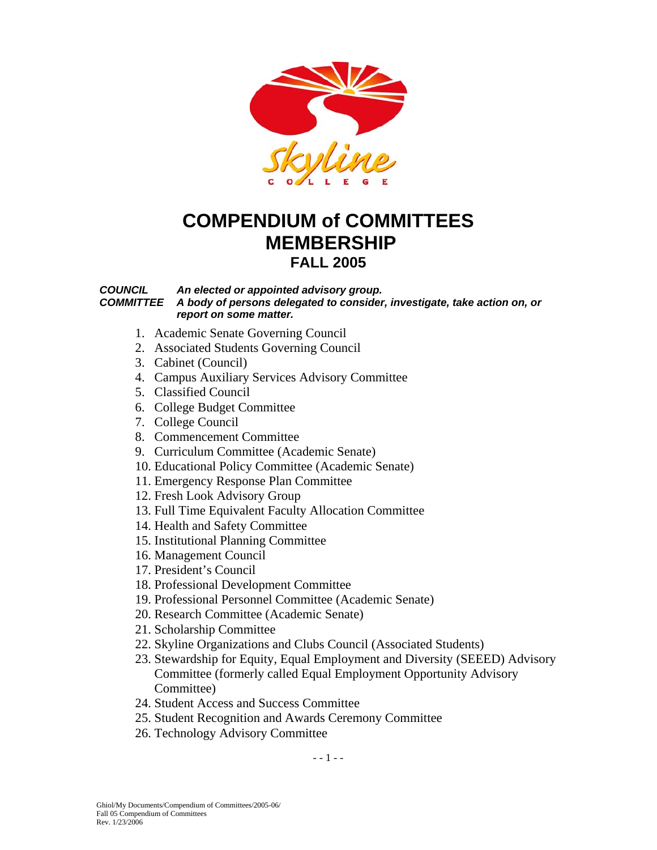

# **COMPENDIUM of COMMITTEES MEMBERSHIP FALL 2005**

#### *COUNCIL An elected or appointed advisory group. COMMITTEE A body of persons delegated to consider, investigate, take action on, or report on some matter.*

- 1. Academic Senate Governing Council
- 2. Associated Students Governing Council
- 3. Cabinet (Council)
- 4. Campus Auxiliary Services Advisory Committee
- 5. Classified Council
- 6. College Budget Committee
- 7. College Council
- 8. Commencement Committee
- 9. Curriculum Committee (Academic Senate)
- 10. Educational Policy Committee (Academic Senate)
- 11. Emergency Response Plan Committee
- 12. Fresh Look Advisory Group
- 13. Full Time Equivalent Faculty Allocation Committee
- 14. Health and Safety Committee
- 15. Institutional Planning Committee
- 16. Management Council
- 17. President's Council
- 18. Professional Development Committee
- 19. Professional Personnel Committee (Academic Senate)
- 20. Research Committee (Academic Senate)
- 21. Scholarship Committee
- 22. Skyline Organizations and Clubs Council (Associated Students)
- 23. Stewardship for Equity, Equal Employment and Diversity (SEEED) Advisory Committee (formerly called Equal Employment Opportunity Advisory Committee)
- 24. Student Access and Success Committee
- 25. Student Recognition and Awards Ceremony Committee
- 26. Technology Advisory Committee

 $- - 1 - -$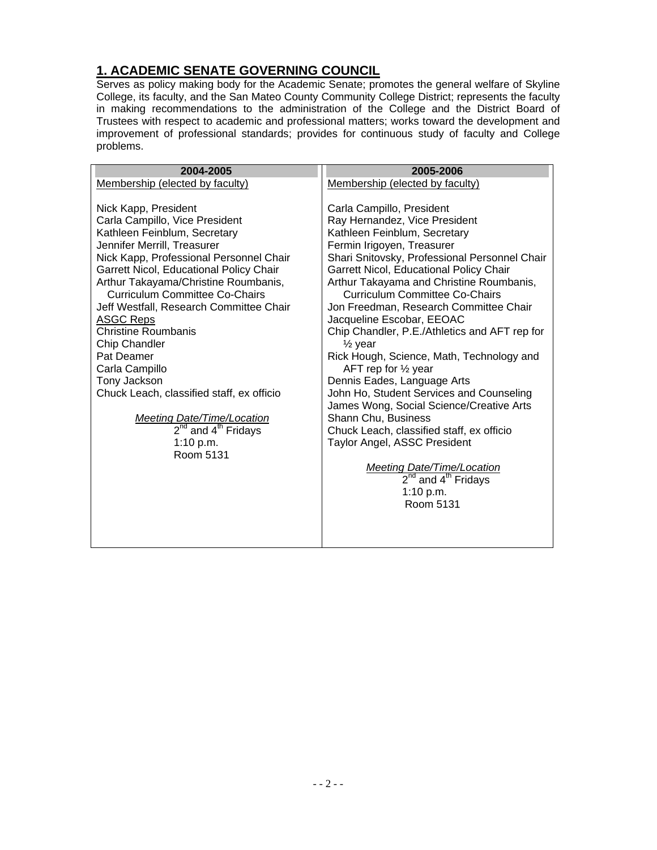#### **1. ACADEMIC SENATE GOVERNING COUNCIL**

Serves as policy making body for the Academic Senate; promotes the general welfare of Skyline College, its faculty, and the San Mateo County Community College District; represents the faculty in making recommendations to the administration of the College and the District Board of Trustees with respect to academic and professional matters; works toward the development and improvement of professional standards; provides for continuous study of faculty and College problems.

| 2004-2005                                                                                                                                                                                                                                                                                                                                                                                                                                                                                                                                                                                                               | 2005-2006                                                                                                                                                                                                                                                                                                                                                                                                                                                                                                                                                                                                                                                                                                                                                                                                                                                                       |
|-------------------------------------------------------------------------------------------------------------------------------------------------------------------------------------------------------------------------------------------------------------------------------------------------------------------------------------------------------------------------------------------------------------------------------------------------------------------------------------------------------------------------------------------------------------------------------------------------------------------------|---------------------------------------------------------------------------------------------------------------------------------------------------------------------------------------------------------------------------------------------------------------------------------------------------------------------------------------------------------------------------------------------------------------------------------------------------------------------------------------------------------------------------------------------------------------------------------------------------------------------------------------------------------------------------------------------------------------------------------------------------------------------------------------------------------------------------------------------------------------------------------|
| Membership (elected by faculty)                                                                                                                                                                                                                                                                                                                                                                                                                                                                                                                                                                                         | Membership (elected by faculty)                                                                                                                                                                                                                                                                                                                                                                                                                                                                                                                                                                                                                                                                                                                                                                                                                                                 |
| Nick Kapp, President<br>Carla Campillo, Vice President<br>Kathleen Feinblum, Secretary<br>Jennifer Merrill, Treasurer<br>Nick Kapp, Professional Personnel Chair<br>Garrett Nicol, Educational Policy Chair<br>Arthur Takayama/Christine Roumbanis,<br><b>Curriculum Committee Co-Chairs</b><br>Jeff Westfall, Research Committee Chair<br><b>ASGC Reps</b><br><b>Christine Roumbanis</b><br>Chip Chandler<br>Pat Deamer<br>Carla Campillo<br>Tony Jackson<br>Chuck Leach, classified staff, ex officio<br><b>Meeting Date/Time/Location</b><br>2 <sup>nd</sup> and 4 <sup>th</sup> Fridays<br>1:10 $p.m.$<br>Room 5131 | Carla Campillo, President<br>Ray Hernandez, Vice President<br>Kathleen Feinblum, Secretary<br>Fermin Irigoyen, Treasurer<br>Shari Snitovsky, Professional Personnel Chair<br>Garrett Nicol, Educational Policy Chair<br>Arthur Takayama and Christine Roumbanis,<br><b>Curriculum Committee Co-Chairs</b><br>Jon Freedman, Research Committee Chair<br>Jacqueline Escobar, EEOAC<br>Chip Chandler, P.E./Athletics and AFT rep for<br>$\frac{1}{2}$ year<br>Rick Hough, Science, Math, Technology and<br>AFT rep for $\frac{1}{2}$ year<br>Dennis Eades, Language Arts<br>John Ho, Student Services and Counseling<br>James Wong, Social Science/Creative Arts<br>Shann Chu, Business<br>Chuck Leach, classified staff, ex officio<br>Taylor Angel, ASSC President<br><b>Meeting Date/Time/Location</b><br>2 <sup>nd</sup> and 4 <sup>th</sup> Fridays<br>1:10 p.m.<br>Room 5131 |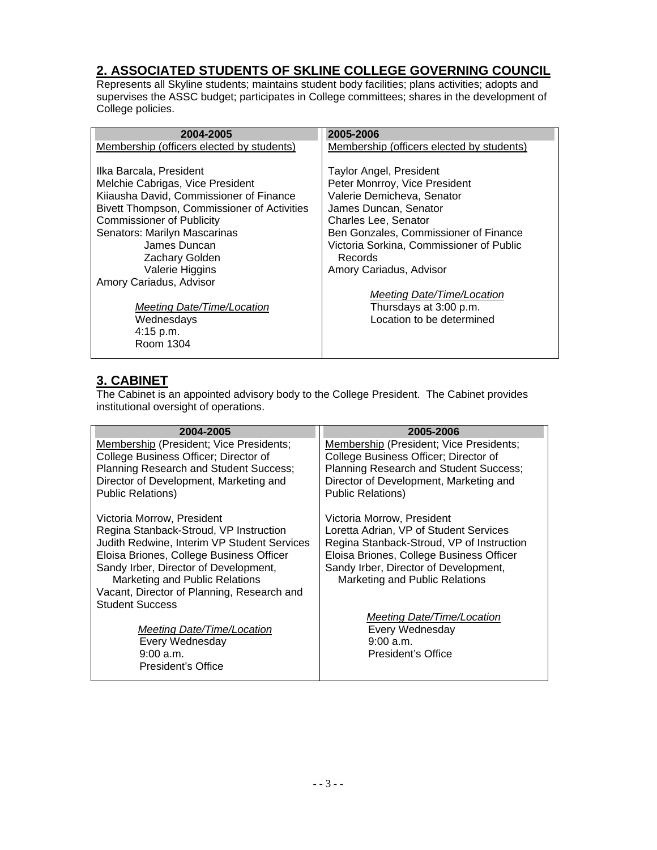# **2. ASSOCIATED STUDENTS OF SKLINE COLLEGE GOVERNING COUNCIL**

Represents all Skyline students; maintains student body facilities; plans activities; adopts and supervises the ASSC budget; participates in College committees; shares in the development of College policies.

| 2004-2005                                   | 2005-2006                                 |
|---------------------------------------------|-------------------------------------------|
| Membership (officers elected by students)   | Membership (officers elected by students) |
|                                             |                                           |
| Ilka Barcala, President                     | <b>Taylor Angel, President</b>            |
| Melchie Cabrigas, Vice President            | Peter Monrroy, Vice President             |
| Kiiausha David, Commissioner of Finance     | Valerie Demicheva, Senator                |
| Bivett Thompson, Commissioner of Activities | James Duncan, Senator                     |
| <b>Commissioner of Publicity</b>            | <b>Charles Lee, Senator</b>               |
| Senators: Marilyn Mascarinas                | Ben Gonzales, Commissioner of Finance     |
| James Duncan                                | Victoria Sorkina, Commissioner of Public  |
| <b>Zachary Golden</b>                       | Records                                   |
| Valerie Higgins                             | Amory Cariadus, Advisor                   |
| Amory Cariadus, Advisor                     |                                           |
|                                             | Meeting Date/Time/Location                |
| Meeting Date/Time/Location                  | Thursdays at 3:00 p.m.                    |
| Wednesdays                                  | Location to be determined                 |
| 4:15 p.m.                                   |                                           |
| Room 1304                                   |                                           |

### **3. CABINET**

The Cabinet is an appointed advisory body to the College President. The Cabinet provides institutional oversight of operations.

| 2004-2005                                   | 2005-2006                                 |
|---------------------------------------------|-------------------------------------------|
| Membership (President; Vice Presidents;     | Membership (President; Vice Presidents;   |
| College Business Officer; Director of       | College Business Officer; Director of     |
| Planning Research and Student Success;      | Planning Research and Student Success;    |
| Director of Development, Marketing and      | Director of Development, Marketing and    |
| <b>Public Relations)</b>                    | <b>Public Relations)</b>                  |
| Victoria Morrow, President                  | Victoria Morrow, President                |
| Regina Stanback-Stroud, VP Instruction      | Loretta Adrian, VP of Student Services    |
| Judith Redwine, Interim VP Student Services | Regina Stanback-Stroud, VP of Instruction |
| Eloisa Briones, College Business Officer    | Eloisa Briones, College Business Officer  |
| Sandy Irber, Director of Development,       | Sandy Irber, Director of Development,     |
| Marketing and Public Relations              | Marketing and Public Relations            |
| Vacant, Director of Planning, Research and  |                                           |
| <b>Student Success</b>                      |                                           |
|                                             | Meeting Date/Time/Location                |
| Meeting Date/Time/Location                  | Every Wednesday                           |
| Every Wednesday                             | 9:00 a.m.                                 |
| $9:00$ a.m.<br>President's Office           | President's Office                        |
|                                             |                                           |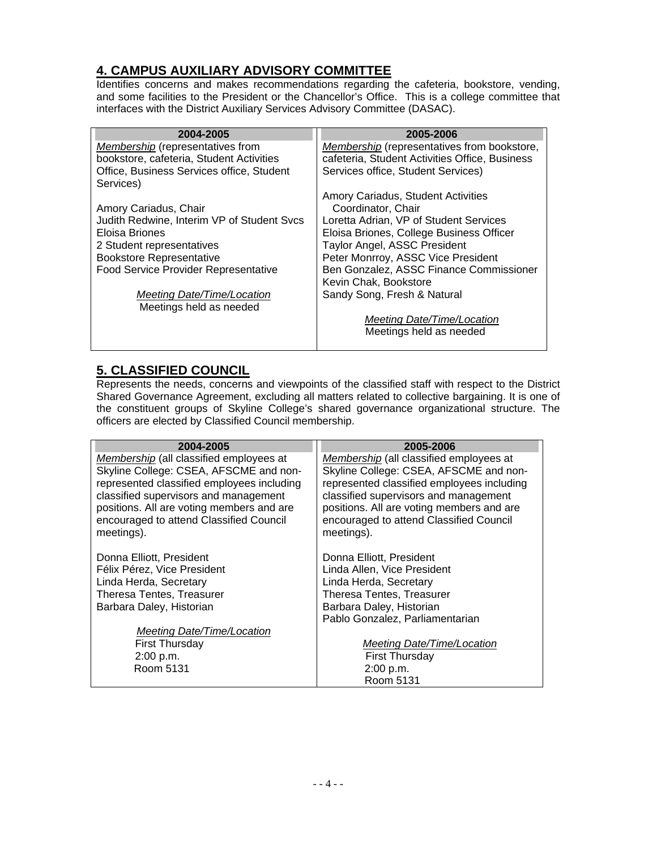# **4. CAMPUS AUXILIARY ADVISORY COMMITTEE**

Identifies concerns and makes recommendations regarding the cafeteria, bookstore, vending, and some facilities to the President or the Chancellor's Office. This is a college committee that interfaces with the District Auxiliary Services Advisory Committee (DASAC).

| 2004-2005                                              | 2005-2006                                      |
|--------------------------------------------------------|------------------------------------------------|
| Membership (representatives from                       | Membership (representatives from bookstore,    |
| bookstore, cafeteria, Student Activities               | cafeteria, Student Activities Office, Business |
| Office, Business Services office, Student<br>Services) | Services office, Student Services)             |
|                                                        | Amory Cariadus, Student Activities             |
| Amory Cariadus, Chair                                  | Coordinator, Chair                             |
| Judith Redwine, Interim VP of Student Svcs             | Loretta Adrian, VP of Student Services         |
| Eloisa Briones                                         | Eloisa Briones, College Business Officer       |
| 2 Student representatives                              | <b>Taylor Angel, ASSC President</b>            |
| <b>Bookstore Representative</b>                        | Peter Monrroy, ASSC Vice President             |
| <b>Food Service Provider Representative</b>            | Ben Gonzalez, ASSC Finance Commissioner        |
|                                                        | Kevin Chak, Bookstore                          |
| Meeting Date/Time/Location                             | Sandy Song, Fresh & Natural                    |
| Meetings held as needed                                |                                                |
|                                                        | Meeting Date/Time/Location                     |
|                                                        | Meetings held as needed                        |

# **5. CLASSIFIED COUNCIL**

Represents the needs, concerns and viewpoints of the classified staff with respect to the District Shared Governance Agreement, excluding all matters related to collective bargaining. It is one of the constituent groups of Skyline College's shared governance organizational structure. The officers are elected by Classified Council membership.

| 2004-2005                                                                          | 2005-2006                                                                          |
|------------------------------------------------------------------------------------|------------------------------------------------------------------------------------|
| Membership (all classified employees at                                            | Membership (all classified employees at                                            |
| Skyline College: CSEA, AFSCME and non-                                             | Skyline College: CSEA, AFSCME and non-                                             |
| represented classified employees including                                         | represented classified employees including                                         |
| classified supervisors and management<br>positions. All are voting members and are | classified supervisors and management<br>positions. All are voting members and are |
| encouraged to attend Classified Council                                            | encouraged to attend Classified Council                                            |
| meetings).                                                                         | meetings).                                                                         |
|                                                                                    |                                                                                    |
| Donna Elliott, President                                                           | Donna Elliott, President                                                           |
| Félix Pérez, Vice President                                                        | Linda Allen, Vice President                                                        |
| Linda Herda, Secretary                                                             | Linda Herda, Secretary                                                             |
| Theresa Tentes, Treasurer                                                          | <b>Theresa Tentes, Treasurer</b>                                                   |
| Barbara Daley, Historian                                                           | Barbara Daley, Historian                                                           |
|                                                                                    | Pablo Gonzalez, Parliamentarian                                                    |
| Meeting Date/Time/Location                                                         |                                                                                    |
| <b>First Thursday</b>                                                              | Meeting Date/Time/Location                                                         |
| 2:00 p.m.<br>Room 5131                                                             | <b>First Thursday</b>                                                              |
|                                                                                    | 2:00 p.m.<br>Room 5131                                                             |
|                                                                                    |                                                                                    |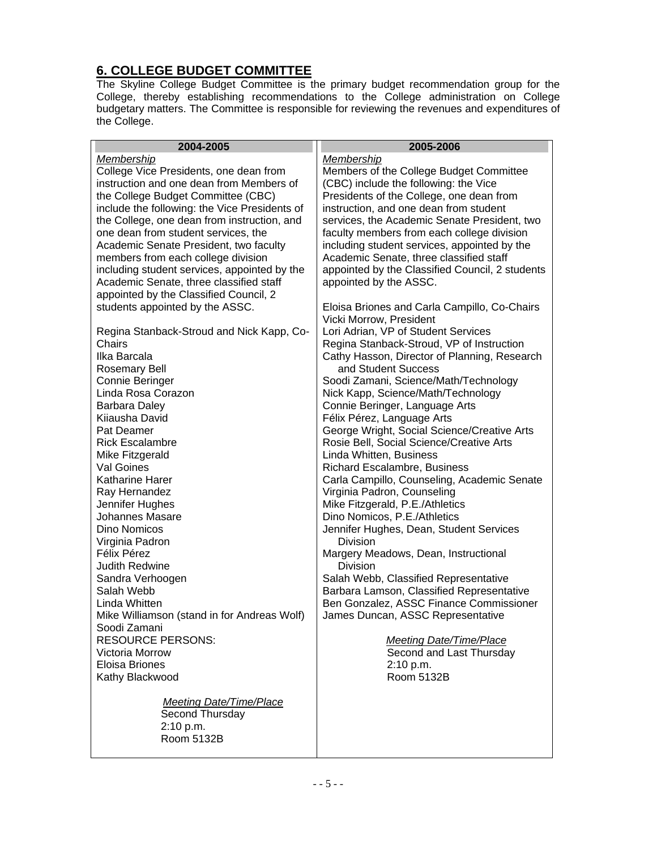# **6. COLLEGE BUDGET COMMITTEE**

The Skyline College Budget Committee is the primary budget recommendation group for the College, thereby establishing recommendations to the College administration on College budgetary matters. The Committee is responsible for reviewing the revenues and expenditures of the College.

| 2004-2005                                     | 2005-2006                                                           |
|-----------------------------------------------|---------------------------------------------------------------------|
| Membership                                    | Membership                                                          |
| College Vice Presidents, one dean from        | Members of the College Budget Committee                             |
| instruction and one dean from Members of      | (CBC) include the following: the Vice                               |
| the College Budget Committee (CBC)            | Presidents of the College, one dean from                            |
| include the following: the Vice Presidents of | instruction, and one dean from student                              |
| the College, one dean from instruction, and   | services, the Academic Senate President, two                        |
| one dean from student services, the           | faculty members from each college division                          |
| Academic Senate President, two faculty        | including student services, appointed by the                        |
| members from each college division            | Academic Senate, three classified staff                             |
| including student services, appointed by the  | appointed by the Classified Council, 2 students                     |
| Academic Senate, three classified staff       | appointed by the ASSC.                                              |
| appointed by the Classified Council, 2        |                                                                     |
| students appointed by the ASSC.               | Eloisa Briones and Carla Campillo, Co-Chairs                        |
|                                               | Vicki Morrow, President                                             |
| Regina Stanback-Stroud and Nick Kapp, Co-     | Lori Adrian, VP of Student Services                                 |
| Chairs                                        | Regina Stanback-Stroud, VP of Instruction                           |
| Ilka Barcala                                  | Cathy Hasson, Director of Planning, Research<br>and Student Success |
| <b>Rosemary Bell</b><br>Connie Beringer       | Soodi Zamani, Science/Math/Technology                               |
| Linda Rosa Corazon                            | Nick Kapp, Science/Math/Technology                                  |
| Barbara Daley                                 | Connie Beringer, Language Arts                                      |
| Kiiausha David                                | Félix Pérez, Language Arts                                          |
| Pat Deamer                                    | George Wright, Social Science/Creative Arts                         |
| <b>Rick Escalambre</b>                        | Rosie Bell, Social Science/Creative Arts                            |
| Mike Fitzgerald                               | Linda Whitten, Business                                             |
| Val Goines                                    | Richard Escalambre, Business                                        |
| <b>Katharine Harer</b>                        | Carla Campillo, Counseling, Academic Senate                         |
| Ray Hernandez                                 | Virginia Padron, Counseling                                         |
| Jennifer Hughes                               | Mike Fitzgerald, P.E./Athletics                                     |
| Johannes Masare                               | Dino Nomicos, P.E./Athletics                                        |
| Dino Nomicos                                  | Jennifer Hughes, Dean, Student Services                             |
| Virginia Padron                               | Division                                                            |
| Félix Pérez                                   | Margery Meadows, Dean, Instructional                                |
| <b>Judith Redwine</b>                         | <b>Division</b>                                                     |
| Sandra Verhoogen                              | Salah Webb, Classified Representative                               |
| Salah Webb                                    | Barbara Lamson, Classified Representative                           |
| Linda Whitten                                 | Ben Gonzalez, ASSC Finance Commissioner                             |
| Mike Williamson (stand in for Andreas Wolf)   | James Duncan, ASSC Representative                                   |
| Soodi Zamani                                  |                                                                     |
| <b>RESOURCE PERSONS:</b>                      | <b>Meeting Date/Time/Place</b>                                      |
| Victoria Morrow                               | Second and Last Thursday                                            |
| Eloisa Briones                                | 2:10 p.m.                                                           |
| Kathy Blackwood                               | Room 5132B                                                          |
| <b>Meeting Date/Time/Place</b>                |                                                                     |
| Second Thursday                               |                                                                     |
| 2:10 p.m.                                     |                                                                     |
| Room 5132B                                    |                                                                     |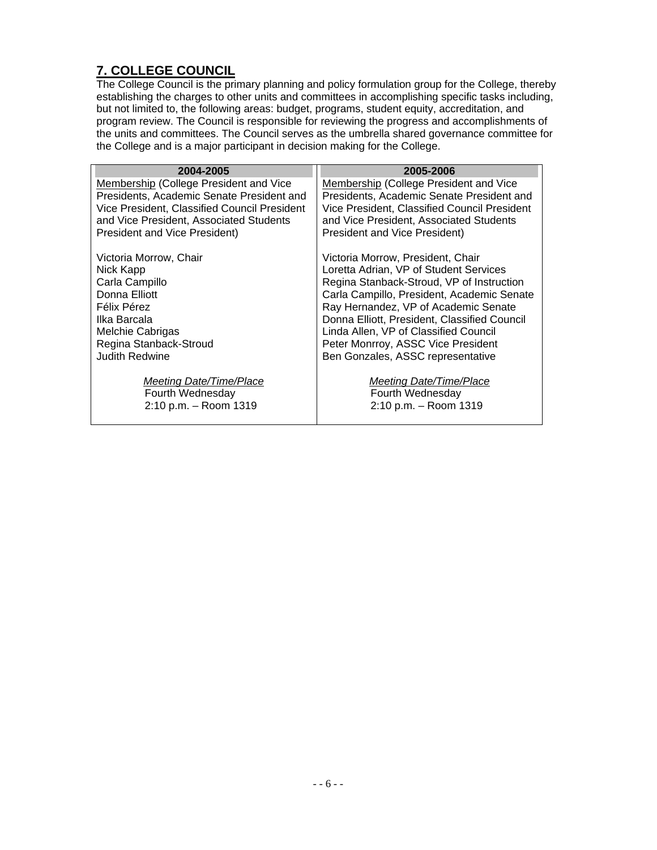# **7. COLLEGE COUNCIL**

The College Council is the primary planning and policy formulation group for the College, thereby establishing the charges to other units and committees in accomplishing specific tasks including, but not limited to, the following areas: budget, programs, student equity, accreditation, and program review. The Council is responsible for reviewing the progress and accomplishments of the units and committees. The Council serves as the umbrella shared governance committee for the College and is a major participant in decision making for the College.

| 2004-2005                                    | 2005-2006                                    |
|----------------------------------------------|----------------------------------------------|
| Membership (College President and Vice       | Membership (College President and Vice       |
| Presidents, Academic Senate President and    | Presidents, Academic Senate President and    |
| Vice President, Classified Council President | Vice President, Classified Council President |
| and Vice President, Associated Students      | and Vice President, Associated Students      |
| <b>President and Vice President)</b>         | <b>President and Vice President)</b>         |
| Victoria Morrow, Chair                       | Victoria Morrow, President, Chair            |
| Nick Kapp                                    | Loretta Adrian, VP of Student Services       |
| Carla Campillo                               | Regina Stanback-Stroud, VP of Instruction    |
| Donna Elliott                                | Carla Campillo, President, Academic Senate   |
| Félix Pérez                                  | Ray Hernandez, VP of Academic Senate         |
| Ilka Barcala                                 | Donna Elliott, President, Classified Council |
| Melchie Cabrigas                             | Linda Allen, VP of Classified Council        |
| Regina Stanback-Stroud                       | Peter Monrroy, ASSC Vice President           |
| <b>Judith Redwine</b>                        | Ben Gonzales, ASSC representative            |
| Meeting Date/Time/Place                      | Meeting Date/Time/Place                      |
| Fourth Wednesday                             | Fourth Wednesday                             |
| 2:10 p.m. - Room 1319                        | 2:10 p.m. - Room 1319                        |
|                                              |                                              |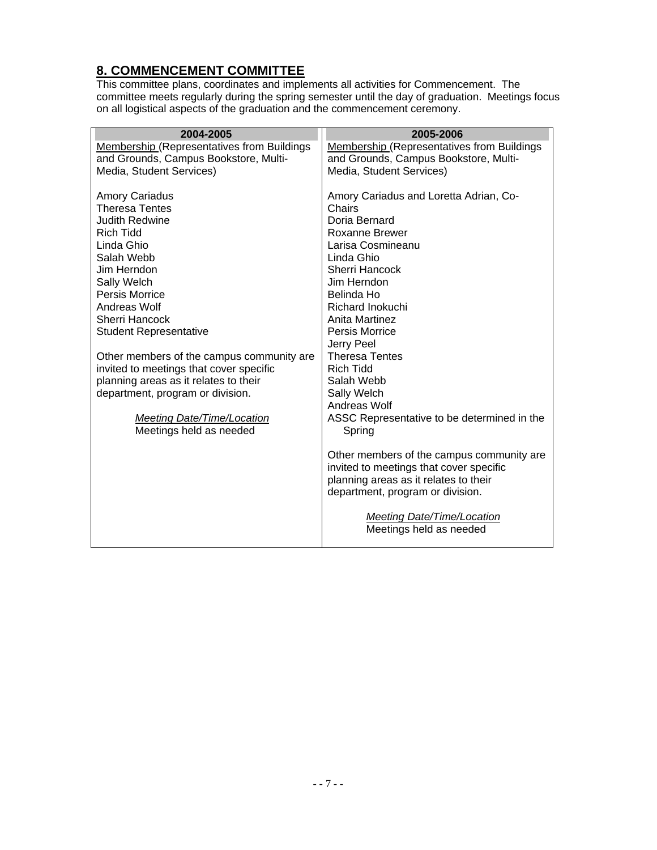# **8. COMMENCEMENT COMMITTEE**

This committee plans, coordinates and implements all activities for Commencement. The committee meets regularly during the spring semester until the day of graduation. Meetings focus on all logistical aspects of the graduation and the commencement ceremony.

| 2004-2005                                         | 2005-2006                                         |
|---------------------------------------------------|---------------------------------------------------|
| <b>Membership (Representatives from Buildings</b> | <b>Membership (Representatives from Buildings</b> |
| and Grounds, Campus Bookstore, Multi-             | and Grounds, Campus Bookstore, Multi-             |
| Media, Student Services)                          | Media, Student Services)                          |
|                                                   |                                                   |
| <b>Amory Cariadus</b>                             | Amory Cariadus and Loretta Adrian, Co-            |
| <b>Theresa Tentes</b>                             | Chairs                                            |
| <b>Judith Redwine</b>                             | Doria Bernard                                     |
| <b>Rich Tidd</b>                                  | Roxanne Brewer                                    |
| Linda Ghio                                        | Larisa Cosmineanu                                 |
| Salah Webb                                        | Linda Ghio                                        |
| Jim Herndon                                       | <b>Sherri Hancock</b>                             |
| Sally Welch                                       | Jim Herndon                                       |
| Persis Morrice                                    | Belinda Ho                                        |
| Andreas Wolf<br>Sherri Hancock                    | Richard Inokuchi<br>Anita Martinez                |
|                                                   | Persis Morrice                                    |
| <b>Student Representative</b>                     | Jerry Peel                                        |
| Other members of the campus community are         | <b>Theresa Tentes</b>                             |
| invited to meetings that cover specific           | <b>Rich Tidd</b>                                  |
| planning areas as it relates to their             | Salah Webb                                        |
| department, program or division.                  | Sally Welch                                       |
|                                                   | Andreas Wolf                                      |
| Meeting Date/Time/Location                        | ASSC Representative to be determined in the       |
| Meetings held as needed                           | Spring                                            |
|                                                   |                                                   |
|                                                   | Other members of the campus community are.        |
|                                                   | invited to meetings that cover specific           |
|                                                   | planning areas as it relates to their             |
|                                                   | department, program or division.                  |
|                                                   |                                                   |
|                                                   | Meeting Date/Time/Location                        |
|                                                   | Meetings held as needed                           |
|                                                   |                                                   |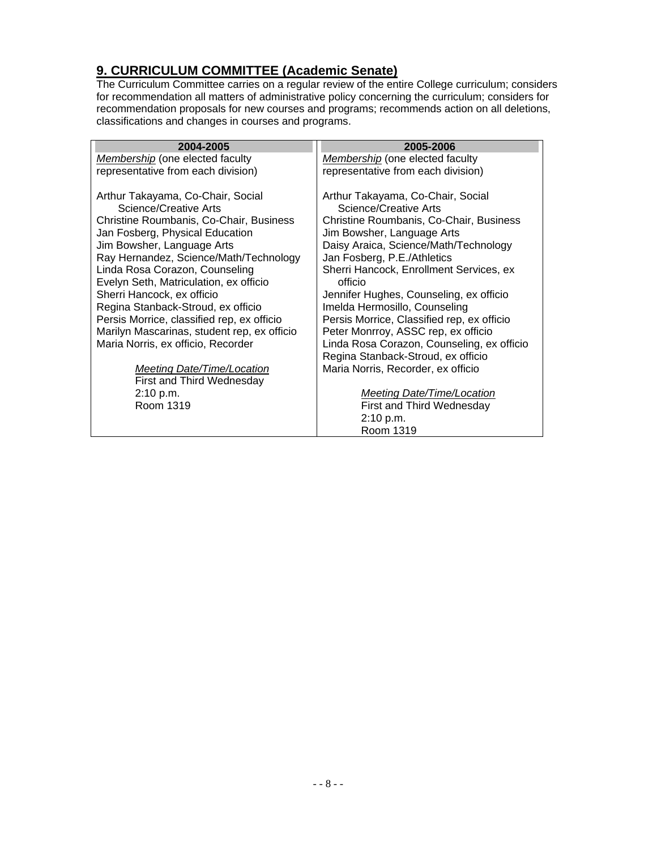### **9. CURRICULUM COMMITTEE (Academic Senate)**

The Curriculum Committee carries on a regular review of the entire College curriculum; considers for recommendation all matters of administrative policy concerning the curriculum; considers for recommendation proposals for new courses and programs; recommends action on all deletions, classifications and changes in courses and programs.

| 2004-2005                                                                  | 2005-2006                                                             |
|----------------------------------------------------------------------------|-----------------------------------------------------------------------|
| Membership (one elected faculty                                            | Membership (one elected faculty                                       |
| representative from each division)                                         | representative from each division)                                    |
| Arthur Takayama, Co-Chair, Social<br>Science/Creative Arts                 | Arthur Takayama, Co-Chair, Social<br>Science/Creative Arts            |
| Christine Roumbanis, Co-Chair, Business<br>Jan Fosberg, Physical Education | Christine Roumbanis, Co-Chair, Business<br>Jim Bowsher, Language Arts |
| Jim Bowsher, Language Arts<br>Ray Hernandez, Science/Math/Technology       | Daisy Araica, Science/Math/Technology<br>Jan Fosberg, P.E./Athletics  |
| Linda Rosa Corazon, Counseling                                             | Sherri Hancock, Enrollment Services, ex                               |
| Evelyn Seth, Matriculation, ex officio                                     | officio                                                               |
| Sherri Hancock, ex officio                                                 | Jennifer Hughes, Counseling, ex officio                               |
| Regina Stanback-Stroud, ex officio                                         | Imelda Hermosillo, Counseling                                         |
| Persis Morrice, classified rep, ex officio                                 | Persis Morrice, Classified rep, ex officio                            |
| Marilyn Mascarinas, student rep, ex officio                                | Peter Monrroy, ASSC rep, ex officio                                   |
| Maria Norris, ex officio, Recorder                                         | Linda Rosa Corazon, Counseling, ex officio                            |
|                                                                            | Regina Stanback-Stroud, ex officio                                    |
| Meeting Date/Time/Location                                                 | Maria Norris, Recorder, ex officio                                    |
| First and Third Wednesday                                                  |                                                                       |
| 2:10 p.m.                                                                  | Meeting Date/Time/Location                                            |
| Room 1319                                                                  | First and Third Wednesday                                             |
|                                                                            | 2:10 p.m.                                                             |
|                                                                            | Room 1319                                                             |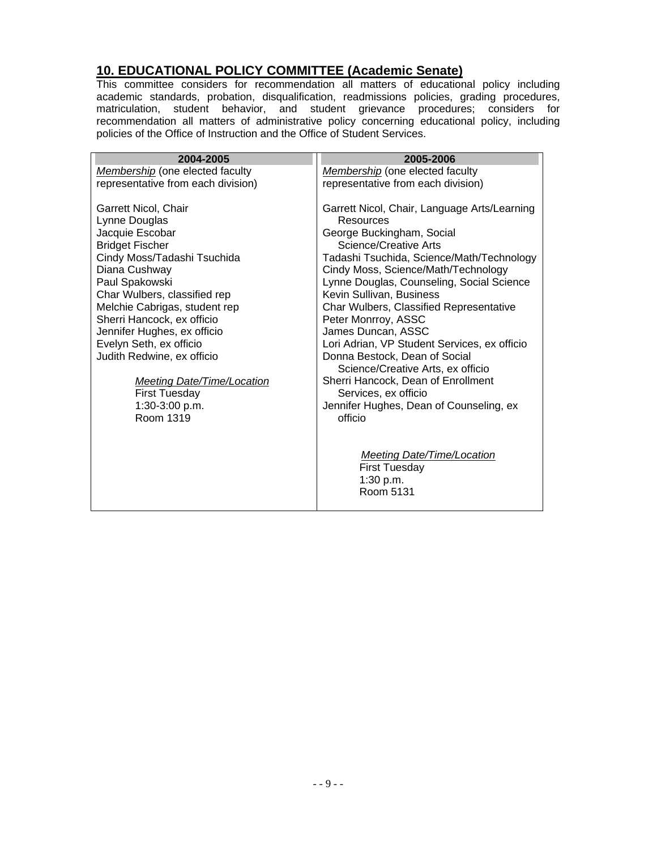#### **10. EDUCATIONAL POLICY COMMITTEE (Academic Senate)**

This committee considers for recommendation all matters of educational policy including academic standards, probation, disqualification, readmissions policies, grading procedures, matriculation, student behavior, and student grievance procedures; considers for recommendation all matters of administrative policy concerning educational policy, including policies of the Office of Instruction and the Office of Student Services.

| 2004-2005                                                                                                         | 2005-2006                                                                                                                                                    |
|-------------------------------------------------------------------------------------------------------------------|--------------------------------------------------------------------------------------------------------------------------------------------------------------|
| Membership (one elected faculty                                                                                   | Membership (one elected faculty                                                                                                                              |
| representative from each division)                                                                                | representative from each division)                                                                                                                           |
| Garrett Nicol, Chair<br>Lynne Douglas<br>Jacquie Escobar<br><b>Bridget Fischer</b><br>Cindy Moss/Tadashi Tsuchida | Garrett Nicol, Chair, Language Arts/Learning<br>Resources<br>George Buckingham, Social<br>Science/Creative Arts<br>Tadashi Tsuchida, Science/Math/Technology |
| Diana Cushway                                                                                                     | Cindy Moss, Science/Math/Technology                                                                                                                          |
| Paul Spakowski<br>Char Wulbers, classified rep                                                                    | Lynne Douglas, Counseling, Social Science<br>Kevin Sullivan, Business                                                                                        |
| Melchie Cabrigas, student rep                                                                                     | Char Wulbers, Classified Representative                                                                                                                      |
| Sherri Hancock, ex officio                                                                                        | Peter Monrroy, ASSC                                                                                                                                          |
| Jennifer Hughes, ex officio                                                                                       | James Duncan, ASSC                                                                                                                                           |
| Evelyn Seth, ex officio<br>Judith Redwine, ex officio                                                             | Lori Adrian, VP Student Services, ex officio<br>Donna Bestock, Dean of Social<br>Science/Creative Arts, ex officio                                           |
| <b>Meeting Date/Time/Location</b>                                                                                 | Sherri Hancock, Dean of Enrollment                                                                                                                           |
| <b>First Tuesday</b>                                                                                              | Services, ex officio                                                                                                                                         |
| 1:30-3:00 p.m.                                                                                                    | Jennifer Hughes, Dean of Counseling, ex                                                                                                                      |
| Room 1319                                                                                                         | officio                                                                                                                                                      |
|                                                                                                                   | <b>Meeting Date/Time/Location</b><br><b>First Tuesday</b><br>1:30 p.m.<br>Room 5131                                                                          |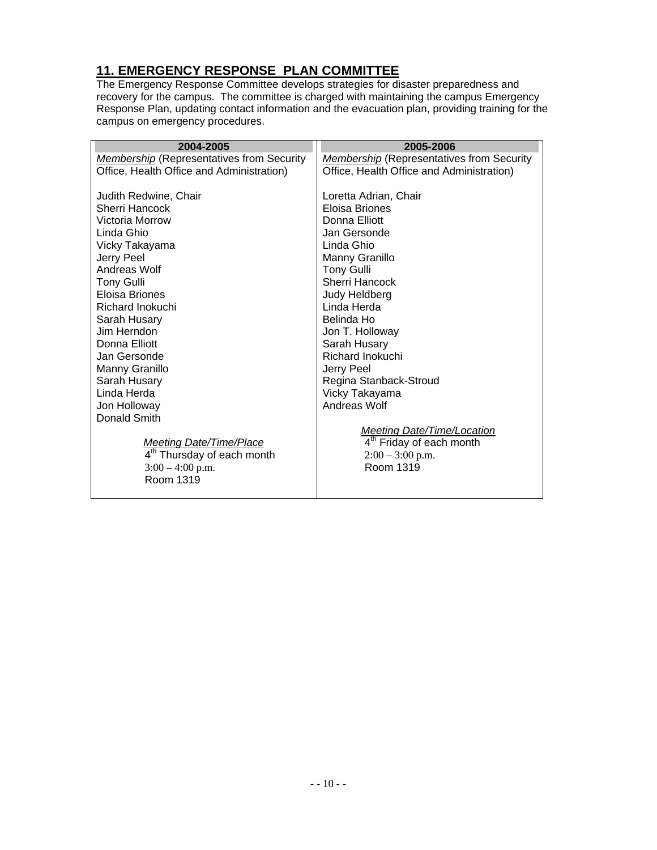# **11. EMERGENCY RESPONSE PLAN COMMITTEE**

The Emergency Response Committee develops strategies for disaster preparedness and recovery for the campus. The committee is charged with maintaining the campus Emergency Response Plan, updating contact information and the evacuation plan, providing training for the campus on emergency procedures.

| 2004-2005                                        | 2005-2006                                        |
|--------------------------------------------------|--------------------------------------------------|
| <b>Membership</b> (Representatives from Security | <b>Membership</b> (Representatives from Security |
| Office, Health Office and Administration)        | Office, Health Office and Administration)        |
|                                                  |                                                  |
| Judith Redwine, Chair                            | Loretta Adrian, Chair                            |
| Sherri Hancock                                   | Eloisa Briones                                   |
| Victoria Morrow                                  | Donna Elliott                                    |
| Linda Ghio                                       | Jan Gersonde                                     |
| Vicky Takayama                                   | Linda Ghio                                       |
| Jerry Peel                                       | Manny Granillo                                   |
| Andreas Wolf                                     | <b>Tony Gulli</b>                                |
| <b>Tony Gulli</b>                                | <b>Sherri Hancock</b>                            |
| Eloisa Briones                                   | Judy Heldberg                                    |
| Richard Inokuchi                                 | Linda Herda                                      |
| Sarah Husary                                     | Belinda Ho                                       |
| Jim Herndon                                      | Jon T. Holloway                                  |
| Donna Elliott                                    | Sarah Husary                                     |
| Jan Gersonde                                     | Richard Inokuchi                                 |
| Manny Granillo                                   | Jerry Peel                                       |
| Sarah Husary                                     | Regina Stanback-Stroud                           |
| Linda Herda                                      | Vicky Takayama                                   |
| Jon Holloway                                     | Andreas Wolf                                     |
| Donald Smith                                     |                                                  |
|                                                  | <b>Meeting Date/Time/Location</b>                |
| <b>Meeting Date/Time/Place</b>                   | 4 <sup>th</sup> Friday of each month             |
| 4 <sup>th</sup> Thursday of each month           | $2:00 - 3:00$ p.m.                               |
| $3:00 - 4:00$ p.m.<br>Room 1319                  | Room 1319                                        |
|                                                  |                                                  |
|                                                  |                                                  |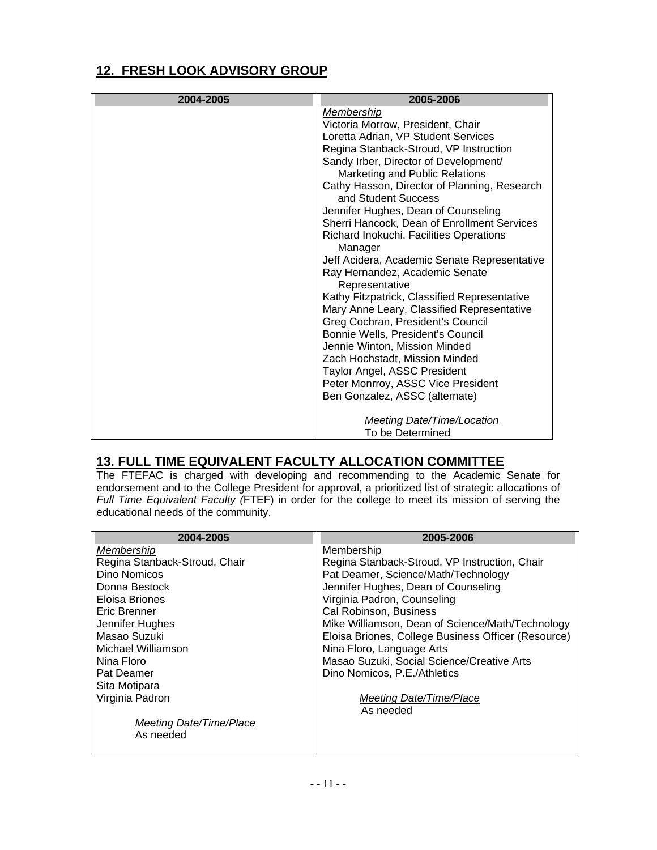# **12. FRESH LOOK ADVISORY GROUP**

| 2004-2005 | 2005-2006                                                           |
|-----------|---------------------------------------------------------------------|
|           | Membership                                                          |
|           | Victoria Morrow, President, Chair                                   |
|           | Loretta Adrian, VP Student Services                                 |
|           | Regina Stanback-Stroud, VP Instruction                              |
|           | Sandy Irber, Director of Development/                               |
|           | Marketing and Public Relations                                      |
|           | Cathy Hasson, Director of Planning, Research<br>and Student Success |
|           | Jennifer Hughes, Dean of Counseling                                 |
|           | Sherri Hancock, Dean of Enrollment Services                         |
|           | Richard Inokuchi, Facilities Operations<br>Manager                  |
|           | Jeff Acidera, Academic Senate Representative                        |
|           | Ray Hernandez, Academic Senate<br>Representative                    |
|           | Kathy Fitzpatrick, Classified Representative                        |
|           | Mary Anne Leary, Classified Representative                          |
|           | Greg Cochran, President's Council                                   |
|           | Bonnie Wells, President's Council                                   |
|           | Jennie Winton, Mission Minded                                       |
|           | Zach Hochstadt, Mission Minded                                      |
|           | Taylor Angel, ASSC President                                        |
|           | Peter Monrroy, ASSC Vice President                                  |
|           | Ben Gonzalez, ASSC (alternate)                                      |
|           |                                                                     |
|           | <b>Meeting Date/Time/Location</b>                                   |
|           | To be Determined                                                    |

# **13. FULL TIME EQUIVALENT FACULTY ALLOCATION COMMITTEE**

The FTEFAC is charged with developing and recommending to the Academic Senate for endorsement and to the College President for approval, a prioritized list of strategic allocations of *Full Time Equivalent Faculty (*FTEF) in order for the college to meet its mission of serving the educational needs of the community.

| 2004-2005                     | 2005-2006                                           |
|-------------------------------|-----------------------------------------------------|
| Membership                    | Membership                                          |
| Regina Stanback-Stroud, Chair | Regina Stanback-Stroud, VP Instruction, Chair       |
| Dino Nomicos                  | Pat Deamer, Science/Math/Technology                 |
| Donna Bestock                 | Jennifer Hughes, Dean of Counseling                 |
| Eloisa Briones                | Virginia Padron, Counseling                         |
| Eric Brenner                  | Cal Robinson, Business                              |
| Jennifer Hughes               | Mike Williamson, Dean of Science/Math/Technology    |
| Masao Suzuki                  | Eloisa Briones, College Business Officer (Resource) |
| Michael Williamson            | Nina Floro, Language Arts                           |
| Nina Floro                    | Masao Suzuki, Social Science/Creative Arts          |
| Pat Deamer                    | Dino Nomicos, P.E./Athletics                        |
| Sita Motipara                 |                                                     |
| Virginia Padron               | Meeting Date/Time/Place                             |
|                               | As needed                                           |
| Meeting Date/Time/Place       |                                                     |
| As needed                     |                                                     |
|                               |                                                     |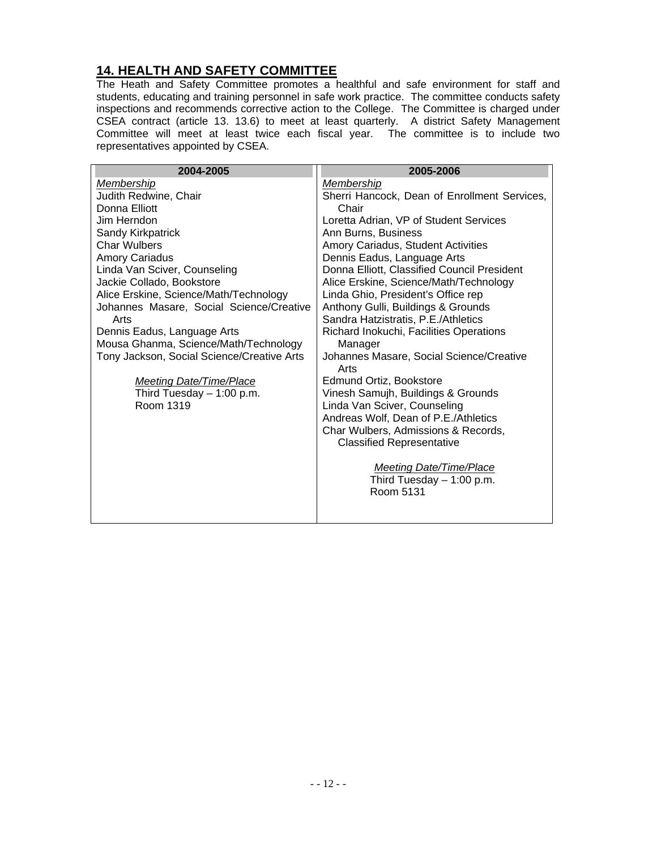# **14. HEALTH AND SAFETY COMMITTEE**

The Heath and Safety Committee promotes a healthful and safe environment for staff and students, educating and training personnel in safe work practice. The committee conducts safety inspections and recommends corrective action to the College. The Committee is charged under CSEA contract (article 13. 13.6) to meet at least quarterly. A district Safety Management Committee will meet at least twice each fiscal year. The committee is to include two representatives appointed by CSEA.

| 2004-2005                                  | 2005-2006                                        |
|--------------------------------------------|--------------------------------------------------|
| Membership                                 | Membership                                       |
| Judith Redwine, Chair                      | Sherri Hancock, Dean of Enrollment Services,     |
| Donna Elliott                              | Chair                                            |
| Jim Herndon                                | Loretta Adrian, VP of Student Services           |
| Sandy Kirkpatrick                          | Ann Burns, Business                              |
| <b>Char Wulbers</b>                        | Amory Cariadus, Student Activities               |
| <b>Amory Cariadus</b>                      | Dennis Eadus, Language Arts                      |
| Linda Van Sciver, Counseling               | Donna Elliott, Classified Council President      |
| Jackie Collado, Bookstore                  | Alice Erskine, Science/Math/Technology           |
| Alice Erskine, Science/Math/Technology     | Linda Ghio, President's Office rep               |
| Johannes Masare, Social Science/Creative   | Anthony Gulli, Buildings & Grounds               |
| Arts                                       | Sandra Hatzistratis, P.E./Athletics              |
| Dennis Eadus, Language Arts                | Richard Inokuchi, Facilities Operations          |
| Mousa Ghanma, Science/Math/Technology      | Manager                                          |
| Tony Jackson, Social Science/Creative Arts | Johannes Masare, Social Science/Creative<br>Arts |
| <b>Meeting Date/Time/Place</b>             | Edmund Ortiz, Bookstore                          |
| Third Tuesday $-1:00$ p.m.                 | Vinesh Samujh, Buildings & Grounds               |
| Room 1319                                  | Linda Van Sciver, Counseling                     |
|                                            | Andreas Wolf, Dean of P.E./Athletics             |
|                                            | Char Wulbers, Admissions & Records,              |
|                                            | <b>Classified Representative</b>                 |
|                                            | Meeting Date/Time/Place                          |
|                                            | Third Tuesday $-1:00$ p.m.                       |
|                                            | Room 5131                                        |
|                                            |                                                  |
|                                            |                                                  |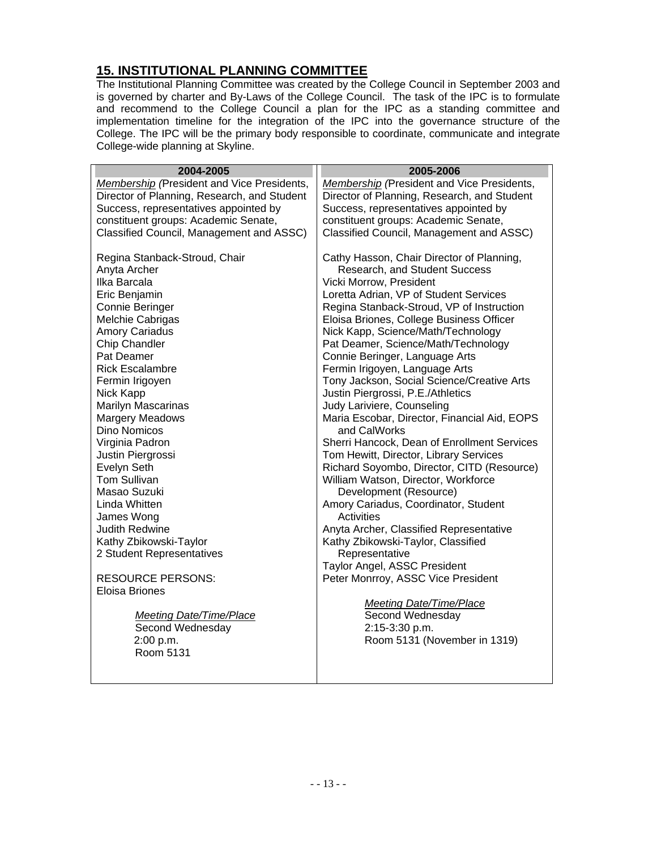# **15. INSTITUTIONAL PLANNING COMMITTEE**

The Institutional Planning Committee was created by the College Council in September 2003 and is governed by charter and By-Laws of the College Council. The task of the IPC is to formulate and recommend to the College Council a plan for the IPC as a standing committee and implementation timeline for the integration of the IPC into the governance structure of the College. The IPC will be the primary body responsible to coordinate, communicate and integrate College-wide planning at Skyline.

| 2004-2005                                         | 2005-2006                                                       |
|---------------------------------------------------|-----------------------------------------------------------------|
| <b>Membership</b> (President and Vice Presidents, | <b>Membership</b> (President and Vice Presidents,               |
| Director of Planning, Research, and Student       | Director of Planning, Research, and Student                     |
| Success, representatives appointed by             | Success, representatives appointed by                           |
| constituent groups: Academic Senate,              | constituent groups: Academic Senate,                            |
| Classified Council, Management and ASSC)          | Classified Council, Management and ASSC)                        |
| Regina Stanback-Stroud, Chair                     | Cathy Hasson, Chair Director of Planning,                       |
| Anyta Archer                                      | Research, and Student Success                                   |
| Ilka Barcala                                      | Vicki Morrow, President                                         |
| Eric Benjamin                                     | Loretta Adrian, VP of Student Services                          |
| Connie Beringer                                   | Regina Stanback-Stroud, VP of Instruction                       |
| Melchie Cabrigas                                  | Eloisa Briones, College Business Officer                        |
| <b>Amory Cariadus</b>                             | Nick Kapp, Science/Math/Technology                              |
| Chip Chandler                                     | Pat Deamer, Science/Math/Technology                             |
| Pat Deamer                                        | Connie Beringer, Language Arts                                  |
| <b>Rick Escalambre</b>                            | Fermin Irigoyen, Language Arts                                  |
| Fermin Irigoyen                                   | Tony Jackson, Social Science/Creative Arts                      |
| Nick Kapp<br><b>Marilyn Mascarinas</b>            | Justin Piergrossi, P.E./Athletics<br>Judy Lariviere, Counseling |
| <b>Margery Meadows</b>                            | Maria Escobar, Director, Financial Aid, EOPS                    |
| <b>Dino Nomicos</b>                               | and CalWorks                                                    |
| Virginia Padron                                   | Sherri Hancock, Dean of Enrollment Services                     |
| Justin Piergrossi                                 | Tom Hewitt, Director, Library Services                          |
| Evelyn Seth                                       | Richard Soyombo, Director, CITD (Resource)                      |
| <b>Tom Sullivan</b>                               | William Watson, Director, Workforce                             |
| Masao Suzuki                                      | Development (Resource)                                          |
| Linda Whitten                                     | Amory Cariadus, Coordinator, Student                            |
| James Wong                                        | Activities                                                      |
| <b>Judith Redwine</b>                             | Anyta Archer, Classified Representative                         |
| Kathy Zbikowski-Taylor                            | Kathy Zbikowski-Taylor, Classified                              |
| 2 Student Representatives                         | Representative                                                  |
|                                                   | Taylor Angel, ASSC President                                    |
| <b>RESOURCE PERSONS:</b><br>Eloisa Briones        | Peter Monrroy, ASSC Vice President                              |
|                                                   |                                                                 |
| Meeting Date/Time/Place                           | <b>Meeting Date/Time/Place</b><br>Second Wednesday              |
| Second Wednesday                                  | 2:15-3:30 p.m.                                                  |
| 2:00 p.m.                                         | Room 5131 (November in 1319)                                    |
| Room 5131                                         |                                                                 |
|                                                   |                                                                 |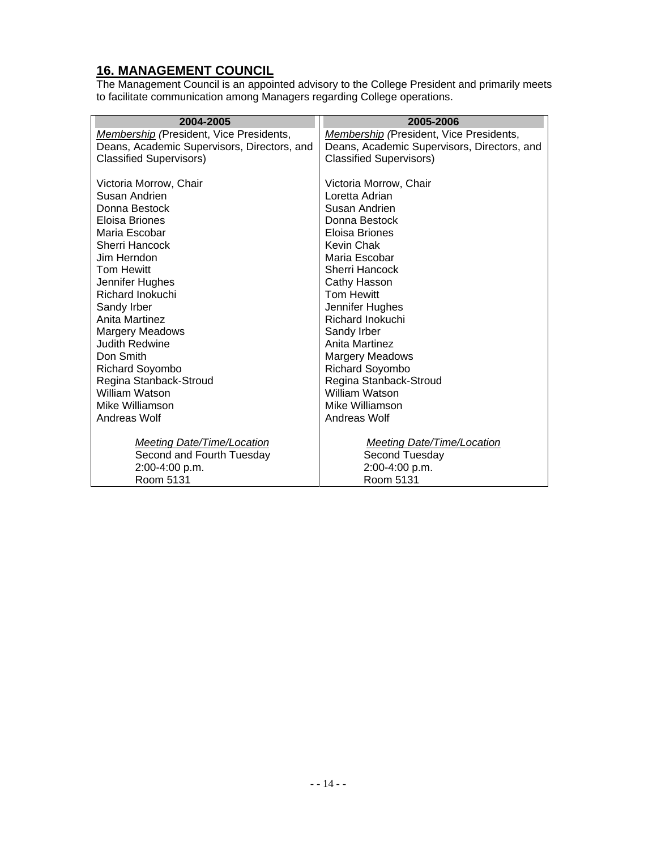### **16. MANAGEMENT COUNCIL**

The Management Council is an appointed advisory to the College President and primarily meets to facilitate communication among Managers regarding College operations.

| 2004-2005                                   | 2005-2006                                      |
|---------------------------------------------|------------------------------------------------|
| Membership (President, Vice Presidents,     | <b>Membership</b> (President, Vice Presidents, |
| Deans, Academic Supervisors, Directors, and | Deans, Academic Supervisors, Directors, and    |
| <b>Classified Supervisors)</b>              | <b>Classified Supervisors)</b>                 |
|                                             |                                                |
| Victoria Morrow, Chair                      | Victoria Morrow, Chair                         |
| Susan Andrien                               | Loretta Adrian                                 |
| Donna Bestock                               | Susan Andrien                                  |
| Eloisa Briones                              | Donna Bestock                                  |
| Maria Escobar                               | Eloisa Briones                                 |
| Sherri Hancock                              | Kevin Chak                                     |
| Jim Herndon                                 | Maria Escobar                                  |
| <b>Tom Hewitt</b>                           | Sherri Hancock                                 |
| Jennifer Hughes                             | Cathy Hasson                                   |
| Richard Inokuchi                            | <b>Tom Hewitt</b>                              |
| Sandy Irber                                 | Jennifer Hughes                                |
| <b>Anita Martinez</b>                       | <b>Richard Inokuchi</b>                        |
| <b>Margery Meadows</b>                      | Sandy Irber                                    |
| <b>Judith Redwine</b>                       | Anita Martinez                                 |
| Don Smith                                   | <b>Margery Meadows</b>                         |
| <b>Richard Soyombo</b>                      | Richard Soyombo                                |
| Regina Stanback-Stroud                      | Regina Stanback-Stroud                         |
| <b>William Watson</b>                       | <b>William Watson</b>                          |
| Mike Williamson                             | Mike Williamson                                |
| Andreas Wolf                                | Andreas Wolf                                   |
|                                             |                                                |
| <b>Meeting Date/Time/Location</b>           | Meeting Date/Time/Location                     |
| Second and Fourth Tuesday                   | Second Tuesday                                 |
| 2:00-4:00 p.m.                              | 2:00-4:00 p.m.                                 |
| Room 5131                                   | Room 5131                                      |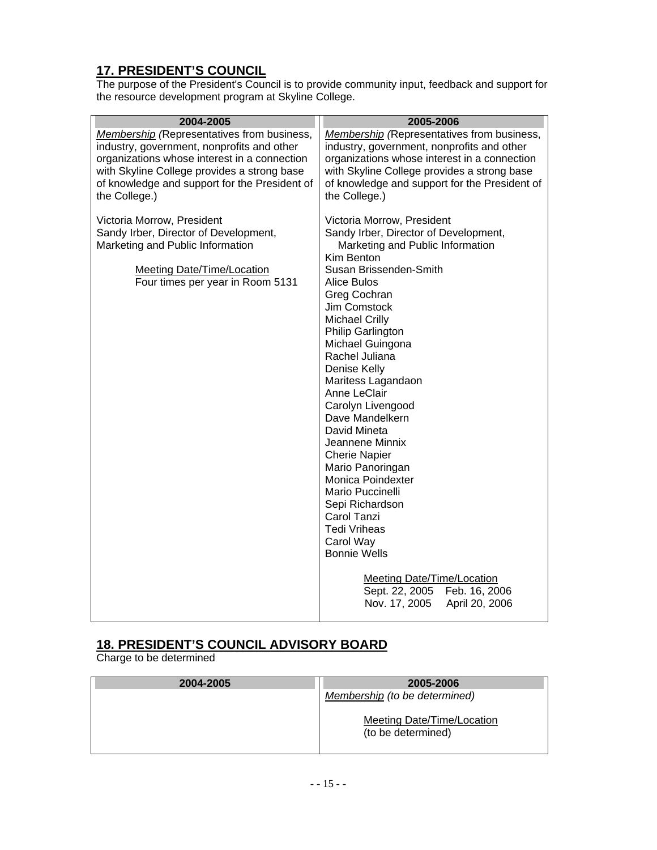# **17. PRESIDENT'S COUNCIL**

The purpose of the President's Council is to provide community input, feedback and support for the resource development program at Skyline College.

| 2004-2005                                                                                                                                                                                                                                                        | 2005-2006                                                                                                                                                                                                                                                                                                                                                                                                                                                                                                                                                                                                                                                                                                        |
|------------------------------------------------------------------------------------------------------------------------------------------------------------------------------------------------------------------------------------------------------------------|------------------------------------------------------------------------------------------------------------------------------------------------------------------------------------------------------------------------------------------------------------------------------------------------------------------------------------------------------------------------------------------------------------------------------------------------------------------------------------------------------------------------------------------------------------------------------------------------------------------------------------------------------------------------------------------------------------------|
| <b>Membership</b> (Representatives from business,<br>industry, government, nonprofits and other<br>organizations whose interest in a connection<br>with Skyline College provides a strong base<br>of knowledge and support for the President of<br>the College.) | <b>Membership</b> (Representatives from business,<br>industry, government, nonprofits and other<br>organizations whose interest in a connection<br>with Skyline College provides a strong base<br>of knowledge and support for the President of<br>the College.)                                                                                                                                                                                                                                                                                                                                                                                                                                                 |
| Victoria Morrow, President<br>Sandy Irber, Director of Development,<br>Marketing and Public Information<br><b>Meeting Date/Time/Location</b><br>Four times per year in Room 5131                                                                                 | Victoria Morrow, President<br>Sandy Irber, Director of Development,<br>Marketing and Public Information<br>Kim Benton<br>Susan Brissenden-Smith<br>Alice Bulos<br>Greg Cochran<br>Jim Comstock<br><b>Michael Crilly</b><br>Philip Garlington<br>Michael Guingona<br>Rachel Juliana<br>Denise Kelly<br>Maritess Lagandaon<br>Anne LeClair<br>Carolyn Livengood<br>Dave Mandelkern<br>David Mineta<br>Jeannene Minnix<br><b>Cherie Napier</b><br>Mario Panoringan<br>Monica Poindexter<br>Mario Puccinelli<br>Sepi Richardson<br>Carol Tanzi<br><b>Tedi Vriheas</b><br>Carol Way<br><b>Bonnie Wells</b><br><b>Meeting Date/Time/Location</b><br>Sept. 22, 2005<br>Feb. 16, 2006<br>Nov. 17, 2005<br>April 20, 2006 |
|                                                                                                                                                                                                                                                                  |                                                                                                                                                                                                                                                                                                                                                                                                                                                                                                                                                                                                                                                                                                                  |

# **18. PRESIDENT'S COUNCIL ADVISORY BOARD**

Charge to be determined

| 2004-2005 | 2005-2006                                        |
|-----------|--------------------------------------------------|
|           | Membership (to be determined)                    |
|           | Meeting Date/Time/Location<br>(to be determined) |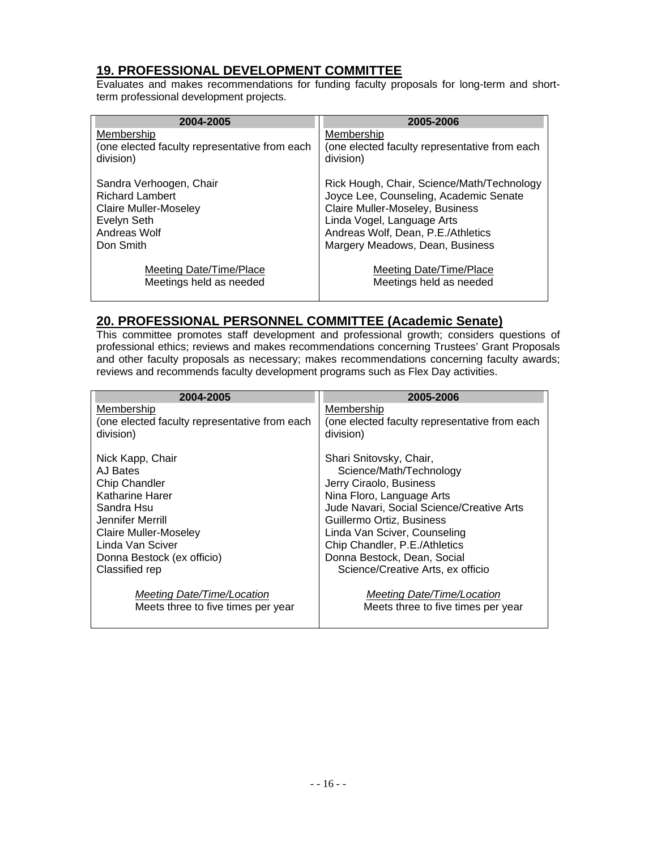#### **19. PROFESSIONAL DEVELOPMENT COMMITTEE**

Evaluates and makes recommendations for funding faculty proposals for long-term and shortterm professional development projects.

| 2004-2005                                     | 2005-2006                                     |
|-----------------------------------------------|-----------------------------------------------|
| Membership                                    | Membership                                    |
| (one elected faculty representative from each | (one elected faculty representative from each |
| division)                                     | division)                                     |
| Sandra Verhoogen, Chair                       | Rick Hough, Chair, Science/Math/Technology    |
| <b>Richard Lambert</b>                        | Joyce Lee, Counseling, Academic Senate        |
| Claire Muller-Moseley                         | Claire Muller-Moseley, Business               |
| Evelyn Seth                                   | Linda Vogel, Language Arts                    |
| Andreas Wolf                                  | Andreas Wolf, Dean, P.E./Athletics            |
| Don Smith                                     | Margery Meadows, Dean, Business               |
| Meeting Date/Time/Place                       | Meeting Date/Time/Place                       |
| Meetings held as needed                       | Meetings held as needed                       |

#### **20. PROFESSIONAL PERSONNEL COMMITTEE (Academic Senate)**

This committee promotes staff development and professional growth; considers questions of professional ethics; reviews and makes recommendations concerning Trustees' Grant Proposals and other faculty proposals as necessary; makes recommendations concerning faculty awards; reviews and recommends faculty development programs such as Flex Day activities.

| 2004-2005                                     | 2005-2006                                     |
|-----------------------------------------------|-----------------------------------------------|
| Membership                                    | Membership                                    |
| (one elected faculty representative from each | (one elected faculty representative from each |
| division)                                     | division)                                     |
|                                               | Shari Snitovsky, Chair,                       |
| Nick Kapp, Chair<br>AJ Bates                  | Science/Math/Technology                       |
| <b>Chip Chandler</b>                          | Jerry Ciraolo, Business                       |
| Katharine Harer                               | Nina Floro, Language Arts                     |
| Sandra Hsu                                    | Jude Navari, Social Science/Creative Arts     |
| Jennifer Merrill                              | Guillermo Ortiz, Business                     |
| Claire Muller-Moseley                         | Linda Van Sciver, Counseling                  |
| Linda Van Sciver                              | Chip Chandler, P.E./Athletics                 |
| Donna Bestock (ex officio)                    | Donna Bestock, Dean, Social                   |
| Classified rep                                | Science/Creative Arts, ex officio             |
|                                               |                                               |
| Meeting Date/Time/Location                    | Meeting Date/Time/Location                    |
| Meets three to five times per year            | Meets three to five times per year            |
|                                               |                                               |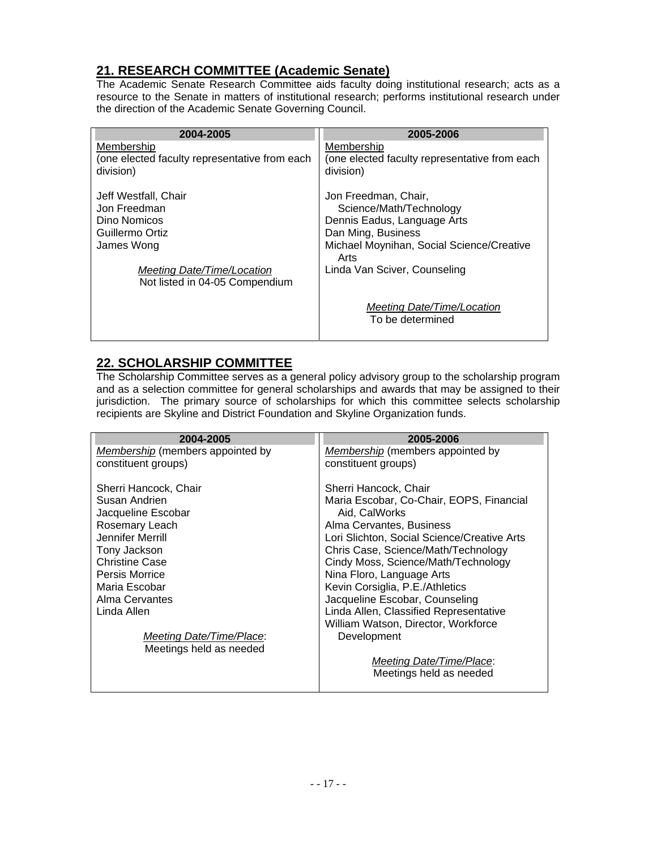#### **21. RESEARCH COMMITTEE (Academic Senate)**

The Academic Senate Research Committee aids faculty doing institutional research; acts as a resource to the Senate in matters of institutional research; performs institutional research under the direction of the Academic Senate Governing Council.

| 2004-2005                                                  | 2005-2006                                                  |
|------------------------------------------------------------|------------------------------------------------------------|
| Membership                                                 | Membership                                                 |
| (one elected faculty representative from each<br>division) | (one elected faculty representative from each<br>division) |
| Jeff Westfall, Chair                                       | Jon Freedman, Chair,                                       |
| Jon Freedman                                               | Science/Math/Technology                                    |
| Dino Nomicos                                               | Dennis Eadus, Language Arts                                |
| Guillermo Ortiz                                            | Dan Ming, Business                                         |
| James Wong                                                 | Michael Moynihan, Social Science/Creative<br>Arts          |
| Meeting Date/Time/Location                                 | Linda Van Sciver, Counseling                               |
| Not listed in 04-05 Compendium                             |                                                            |
|                                                            | Meeting Date/Time/Location                                 |
|                                                            | To be determined                                           |
|                                                            |                                                            |

#### **22. SCHOLARSHIP COMMITTEE**

The Scholarship Committee serves as a general policy advisory group to the scholarship program and as a selection committee for general scholarships and awards that may be assigned to their jurisdiction. The primary source of scholarships for which this committee selects scholarship recipients are Skyline and District Foundation and Skyline Organization funds.

| 2004-2005                        | 2005-2006                                   |
|----------------------------------|---------------------------------------------|
| Membership (members appointed by | Membership (members appointed by            |
| constituent groups)              | constituent groups)                         |
| Sherri Hancock, Chair            | Sherri Hancock, Chair                       |
| Susan Andrien                    | Maria Escobar, Co-Chair, EOPS, Financial    |
| Jacqueline Escobar               | Aid, CalWorks                               |
| Rosemary Leach                   | Alma Cervantes, Business                    |
| Jennifer Merrill                 | Lori Slichton, Social Science/Creative Arts |
| Tony Jackson                     | Chris Case, Science/Math/Technology         |
| <b>Christine Case</b>            | Cindy Moss, Science/Math/Technology         |
| Persis Morrice                   | Nina Floro, Language Arts                   |
| Maria Escobar                    | Kevin Corsiglia, P.E./Athletics             |
| Alma Cervantes                   | Jacqueline Escobar, Counseling              |
| Linda Allen                      | Linda Allen, Classified Representative      |
|                                  | William Watson, Director, Workforce         |
| Meeting Date/Time/Place:         | Development                                 |
| Meetings held as needed          |                                             |
|                                  | Meeting Date/Time/Place:                    |
|                                  | Meetings held as needed                     |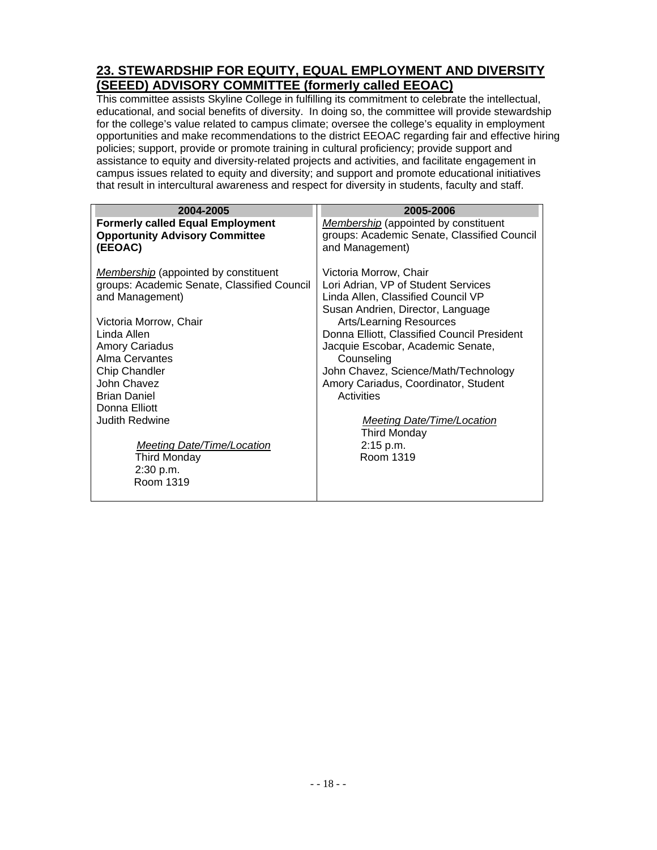#### **23. STEWARDSHIP FOR EQUITY, EQUAL EMPLOYMENT AND DIVERSITY (SEEED) ADVISORY COMMITTEE (formerly called EEOAC)**

This committee assists Skyline College in fulfilling its commitment to celebrate the intellectual, educational, and social benefits of diversity. In doing so, the committee will provide stewardship for the college's value related to campus climate; oversee the college's equality in employment opportunities and make recommendations to the district EEOAC regarding fair and effective hiring policies; support, provide or promote training in cultural proficiency; provide support and assistance to equity and diversity-related projects and activities, and facilitate engagement in campus issues related to equity and diversity; and support and promote educational initiatives that result in intercultural awareness and respect for diversity in students, faculty and staff.

| 2004-2005                                                                                                                                                                                                                                                                                                                                                                                | 2005-2006                                                                                                                                                                                                                                                                                                                                                                                                                                                 |
|------------------------------------------------------------------------------------------------------------------------------------------------------------------------------------------------------------------------------------------------------------------------------------------------------------------------------------------------------------------------------------------|-----------------------------------------------------------------------------------------------------------------------------------------------------------------------------------------------------------------------------------------------------------------------------------------------------------------------------------------------------------------------------------------------------------------------------------------------------------|
| <b>Formerly called Equal Employment</b><br><b>Opportunity Advisory Committee</b><br>(EEOAC)                                                                                                                                                                                                                                                                                              | <b>Membership</b> (appointed by constituent<br>groups: Academic Senate, Classified Council<br>and Management)                                                                                                                                                                                                                                                                                                                                             |
| <b>Membership</b> (appointed by constituent<br>groups: Academic Senate, Classified Council<br>and Management)<br>Victoria Morrow, Chair<br>Linda Allen<br><b>Amory Cariadus</b><br>Alma Cervantes<br>Chip Chandler<br>John Chavez<br><b>Brian Daniel</b><br>Donna Elliott<br><b>Judith Redwine</b><br><b>Meeting Date/Time/Location</b><br><b>Third Monday</b><br>2:30 p.m.<br>Room 1319 | Victoria Morrow, Chair<br>Lori Adrian, VP of Student Services<br>Linda Allen, Classified Council VP<br>Susan Andrien, Director, Language<br><b>Arts/Learning Resources</b><br>Donna Elliott, Classified Council President<br>Jacquie Escobar, Academic Senate,<br>Counseling<br>John Chavez, Science/Math/Technology<br>Amory Cariadus, Coordinator, Student<br>Activities<br>Meeting Date/Time/Location<br><b>Third Monday</b><br>2:15 p.m.<br>Room 1319 |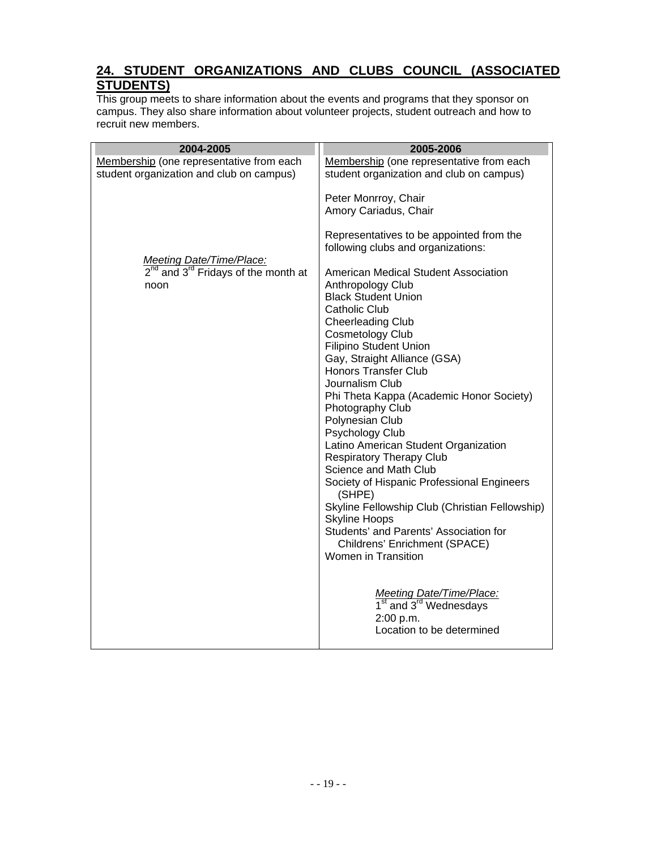# **24. STUDENT ORGANIZATIONS AND CLUBS COUNCIL (ASSOCIATED STUDENTS)**

This group meets to share information about the events and programs that they sponsor on campus. They also share information about volunteer projects, student outreach and how to recruit new members.

| 2004-2005                                                                        | 2005-2006                                                                      |
|----------------------------------------------------------------------------------|--------------------------------------------------------------------------------|
| Membership (one representative from each                                         | Membership (one representative from each                                       |
| student organization and club on campus)                                         | student organization and club on campus)                                       |
|                                                                                  | Peter Monrroy, Chair                                                           |
|                                                                                  | Amory Cariadus, Chair                                                          |
|                                                                                  | Representatives to be appointed from the<br>following clubs and organizations: |
| <b>Meeting Date/Time/Place:</b><br>$2^{nd}$ and $3^{rd}$ Fridays of the month at | American Medical Student Association                                           |
| noon                                                                             | Anthropology Club<br><b>Black Student Union</b>                                |
|                                                                                  | <b>Catholic Club</b>                                                           |
|                                                                                  | <b>Cheerleading Club</b>                                                       |
|                                                                                  | <b>Cosmetology Club</b>                                                        |
|                                                                                  | Filipino Student Union                                                         |
|                                                                                  | Gay, Straight Alliance (GSA)                                                   |
|                                                                                  | <b>Honors Transfer Club</b>                                                    |
|                                                                                  | Journalism Club                                                                |
|                                                                                  | Phi Theta Kappa (Academic Honor Society)                                       |
|                                                                                  | Photography Club<br>Polynesian Club                                            |
|                                                                                  | Psychology Club                                                                |
|                                                                                  | Latino American Student Organization                                           |
|                                                                                  | <b>Respiratory Therapy Club</b>                                                |
|                                                                                  | Science and Math Club                                                          |
|                                                                                  | Society of Hispanic Professional Engineers<br>(SHPE)                           |
|                                                                                  | Skyline Fellowship Club (Christian Fellowship)                                 |
|                                                                                  | <b>Skyline Hoops</b><br>Students' and Parents' Association for                 |
|                                                                                  | Childrens' Enrichment (SPACE)                                                  |
|                                                                                  | Women in Transition                                                            |
|                                                                                  |                                                                                |
|                                                                                  | Meeting Date/Time/Place:                                                       |
|                                                                                  | 1 <sup>st</sup> and 3 <sup>rd</sup> Wednesdays                                 |
|                                                                                  | 2:00 p.m.<br>Location to be determined                                         |
|                                                                                  |                                                                                |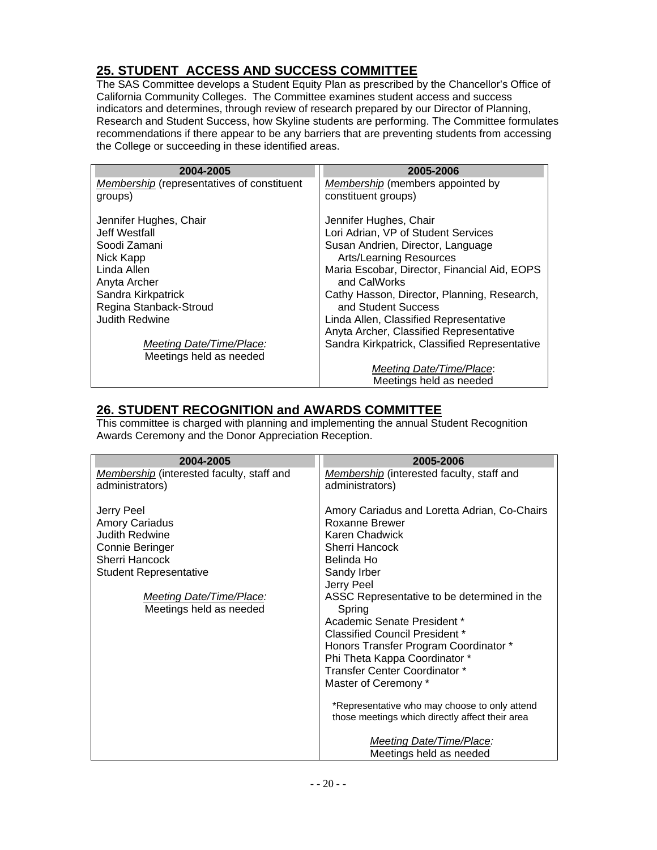# **25. STUDENT ACCESS AND SUCCESS COMMITTEE**

The SAS Committee develops a Student Equity Plan as prescribed by the Chancellor's Office of California Community Colleges. The Committee examines student access and success indicators and determines, through review of research prepared by our Director of Planning, Research and Student Success, how Skyline students are performing. The Committee formulates recommendations if there appear to be any barriers that are preventing students from accessing the College or succeeding in these identified areas.

| 2004-2005                                  | 2005-2006                                     |
|--------------------------------------------|-----------------------------------------------|
| Membership (representatives of constituent | Membership (members appointed by              |
| groups)                                    | constituent groups)                           |
|                                            |                                               |
| Jennifer Hughes, Chair                     | Jennifer Hughes, Chair                        |
| Jeff Westfall                              | Lori Adrian, VP of Student Services           |
| Soodi Zamani                               | Susan Andrien, Director, Language             |
| Nick Kapp                                  | <b>Arts/Learning Resources</b>                |
| Linda Allen                                | Maria Escobar, Director, Financial Aid, EOPS  |
| Anyta Archer                               | and CalWorks                                  |
| Sandra Kirkpatrick                         | Cathy Hasson, Director, Planning, Research,   |
| Regina Stanback-Stroud                     | and Student Success                           |
| <b>Judith Redwine</b>                      | Linda Allen, Classified Representative        |
|                                            | Anyta Archer, Classified Representative       |
| Meeting Date/Time/Place:                   | Sandra Kirkpatrick, Classified Representative |
| Meetings held as needed                    |                                               |
|                                            | Meeting Date/Time/Place:                      |
|                                            | Meetings held as needed                       |

### **26. STUDENT RECOGNITION and AWARDS COMMITTEE**

This committee is charged with planning and implementing the annual Student Recognition Awards Ceremony and the Donor Appreciation Reception.

| 2004-2005                                                                                                                                                                                 | 2005-2006                                                                                                                                                                                                                                                                                                                                                                                                                                                                                                                                                             |
|-------------------------------------------------------------------------------------------------------------------------------------------------------------------------------------------|-----------------------------------------------------------------------------------------------------------------------------------------------------------------------------------------------------------------------------------------------------------------------------------------------------------------------------------------------------------------------------------------------------------------------------------------------------------------------------------------------------------------------------------------------------------------------|
| Membership (interested faculty, staff and<br>administrators)                                                                                                                              | Membership (interested faculty, staff and<br>administrators)                                                                                                                                                                                                                                                                                                                                                                                                                                                                                                          |
| Jerry Peel<br><b>Amory Cariadus</b><br>Judith Redwine<br>Connie Beringer<br>Sherri Hancock<br><b>Student Representative</b><br><b>Meeting Date/Time/Place:</b><br>Meetings held as needed | Amory Cariadus and Loretta Adrian, Co-Chairs<br>Roxanne Brewer<br>Karen Chadwick<br>Sherri Hancock<br>Belinda Ho<br>Sandy Irber<br>Jerry Peel<br>ASSC Representative to be determined in the<br>Spring<br>Academic Senate President *<br>Classified Council President *<br>Honors Transfer Program Coordinator *<br>Phi Theta Kappa Coordinator *<br>Transfer Center Coordinator *<br>Master of Ceremony *<br>*Representative who may choose to only attend<br>those meetings which directly affect their area<br>Meeting Date/Time/Place:<br>Meetings held as needed |